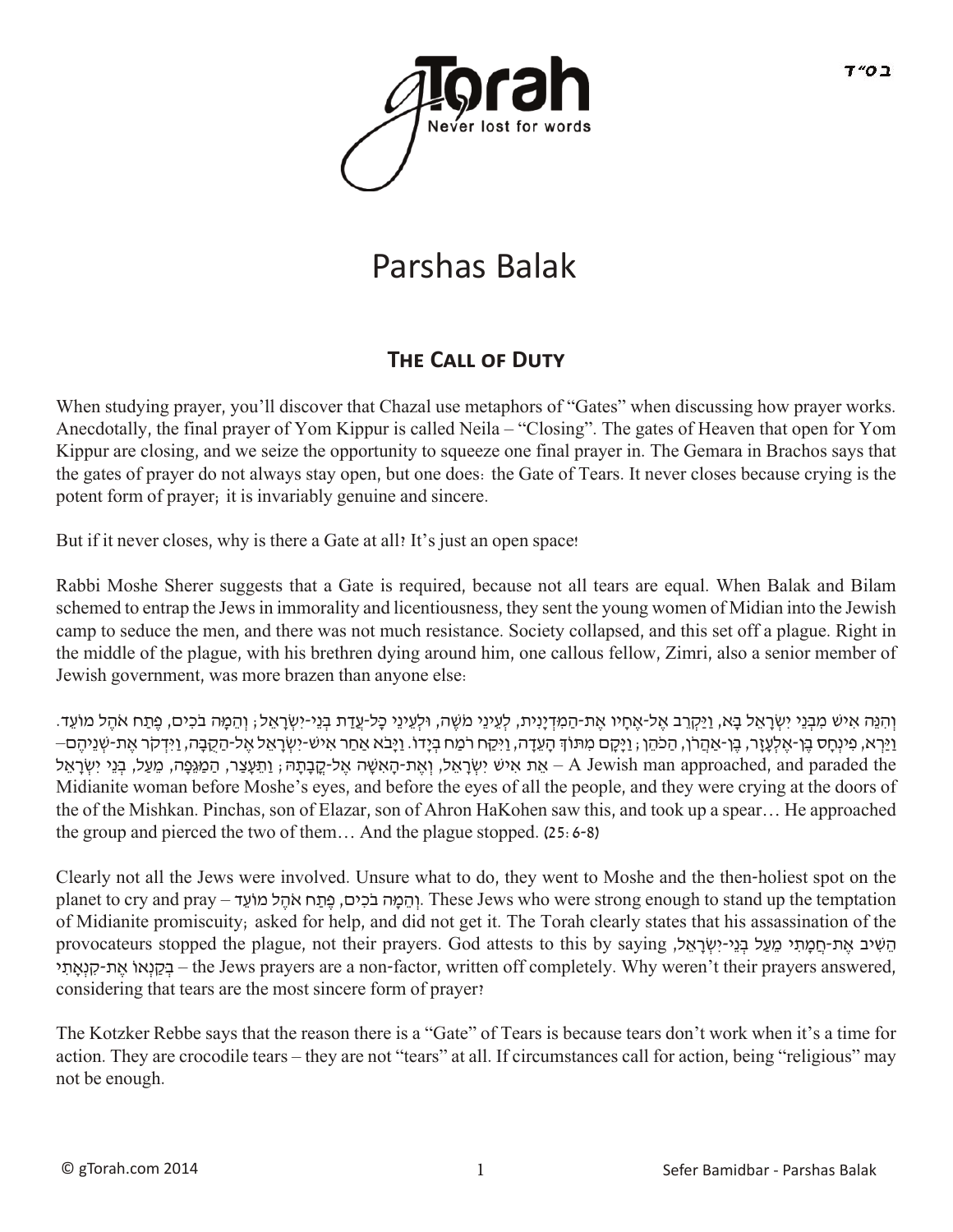

# Parshas Balak

# **THE CALL OF DUTY**

When studying prayer, you'll discover that Chazal use metaphors of "Gates" when discussing how prayer works. Anecdotally, the final prayer of Yom Kippur is called Neila – "Closing". The gates of Heaven that open for Yom Kippur are closing, and we seize the opportunity to squeeze one final prayer in. The Gemara in Brachos says that the gates of prayer do not always stay open, but one does: the Gate of Tears. It never closes because crying is the potent form of prayer; it is invariably genuine and sincere.

But if it never closes, why is there a Gate at all? It's just an open space!

Rabbi Moshe Sherer suggests that a Gate is required, because not all tears are equal. When Balak and Bilam schemed to entrap the Jews in immorality and licentiousness, they sent the young women of Midian into the Jewish camp to seduce the men, and there was not much resistance. Society collapsed, and this set off a plague. Right in the middle of the plague, with his brethren dying around him, one callous fellow, Zimri, also a senior member of Jewish government, was more brazen than anyone else:

וְהָנֵּה אִישׁ מִבְּנֵי יִשְׂרָאֵל בָא, וַיַּקְרֵב אֶל-אֶחָיו אֶת-הַמְּדְיַנִית, לְעֵינֵי מֹשֶׁה, וּלְעֵינֵי כָּל-עֲדַת בְּנֵי-יִשְׂרָאֵל; וְהֵמֶה בֹכִים, פֶתַח אֹהֶל מוֹעֵד. - וַיַּרְא, פִינְחָס בֵן-אֵלְעָזֶר, בֵן-אֲהֵרֹן, הַכֹּהֵן , וַיָּקָם מִתּוֹךְ הָעֵדָה, וַיִּקַח רֹמַח בִיָּדו. וַיָּבֹא אַחַר אִיש-יִשְׂרָאֵל אֵל-הַקָבָה, וַיִּדְקֹר אֵת-שִׁנֵיהֶם– יִשְׂרָאֱל, וְאֱת-הָאִשָּׁה אֱל-קֲבָתָהּ; וַתֵּעֲצַר, הַמַּגְּפָה, מֵעַל, בְּנֵי יִשְׂרָאֱל, A Jewish man approached, and paraded the Midianite woman before Moshe's eyes, and before the eyes of all the people, and they were crying at the doors of the of the Mishkan. Pinchas, son of Elazar, son of Ahron HaKohen saw this, and took up a spear… He approached the group and pierced the two of them... And the plague stopped.  $(25:6-8)$ 

Clearly not all the Jews were involved. Unsure what to do, they went to Moshe and the then-holiest spot on the planet to cry and pray - והמה בכים, פתח אהל מוֹעד. These Jews who were strong enough to stand up the temptation of Midianite promiscuity; asked for help, and did not get it. The Torah clearly states that his assassination of the הֵשִׁיב אֶת-חֲמַתִי מֵעַל בְּנֵי-יִשְׂרָאֵל, provocateurs stopped the plague, not their prayers. God attests to this by saying י ִאָתְנ ִק-ת ֶא ֹאוְנ ַקּ ְב – the Jews prayers are a non-factor, written off completely. Why weren't their prayers answered, considering that tears are the most sincere form of prayer?

The Kotzker Rebbe says that the reason there is a "Gate" of Tears is because tears don't work when it's a time for action. They are crocodile tears – they are not "tears" at all. If circumstances call for action, being "religious" may not be enough.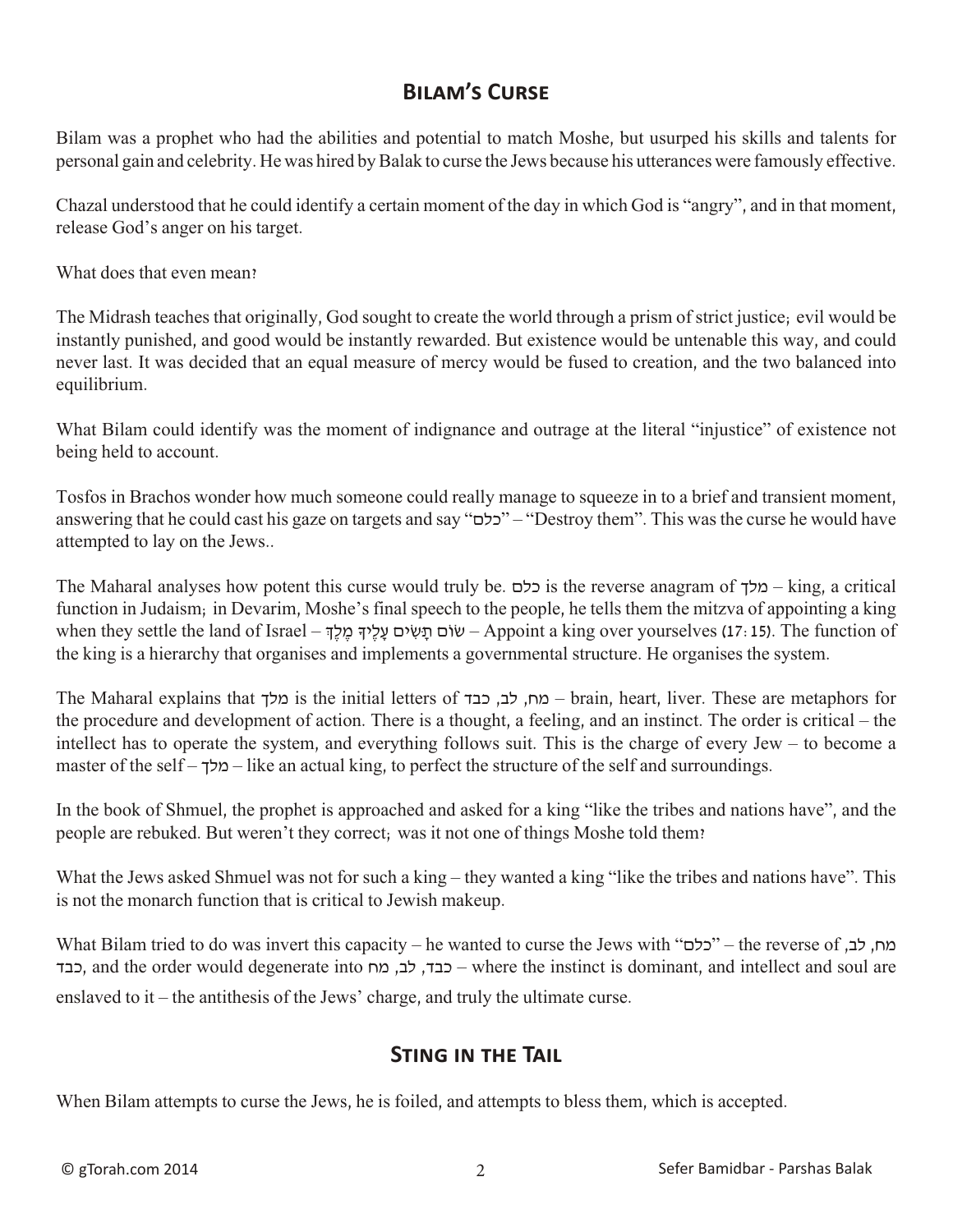## **Bilam's Curse**

Bilam was a prophet who had the abilities and potential to match Moshe, but usurped his skills and talents for personal gain and celebrity. He was hired by Balak to curse the Jews because his utterances were famously effective.

Chazal understood that he could identify a certain moment of the day in which God is "angry", and in that moment, release God's anger on his target.

What does that even mean?

The Midrash teaches that originally, God sought to create the world through a prism of strict justice; evil would be instantly punished, and good would be instantly rewarded. But existence would be untenable this way, and could never last. It was decided that an equal measure of mercy would be fused to creation, and the two balanced into equilibrium.

What Bilam could identify was the moment of indignance and outrage at the literal "injustice" of existence not being held to account.

Tosfos in Brachos wonder how much someone could really manage to squeeze in to a brief and transient moment, answering that he could cast his gaze on targets and say "כלם" – "Destroy them". This was the curse he would have attempted to lay on the Jews..

The Maharal analyses how potent this curse would truly be. כלם is the reverse anagram of מלך – king, a critical function in Judaism; in Devarim, Moshe's final speech to the people, he tells them the mitzva of appointing a king when they settle the land of Israel – שׂוֹם תַּשִׂים עַלֵיךְ מֵלֵךְ – Appoint a king over yourselves (17: 15). The function of the king is a hierarchy that organises and implements a governmental structure. He organises the system.

The Maharal explains that מלך is the initial letters of מה, לב, כבד – brain, heart, liver. These are metaphors for the procedure and development of action. There is a thought, a feeling, and an instinct. The order is critical – the intellect has to operate the system, and everything follows suit. This is the charge of every Jew – to become a master of the self – מלך – like an actual king, to perfect the structure of the self and surroundings.

In the book of Shmuel, the prophet is approached and asked for a king "like the tribes and nations have", and the people are rebuked. But weren't they correct; was it not one of things Moshe told them?

What the Jews asked Shmuel was not for such a king – they wanted a king "like the tribes and nations have". This is not the monarch function that is critical to Jewish makeup.

What Bilam tried to do was invert this capacity – he wanted to curse the Jews with "כלם" – the reverse of ,כלם כבד, כבד, לב, מח dite order would degenerate into הכבד, לב, מח – where the instinct is dominant, and intellect and soul are enslaved to it – the antithesis of the Jews' charge, and truly the ultimate curse.

#### **Sting in the Tail**

When Bilam attempts to curse the Jews, he is foiled, and attempts to bless them, which is accepted.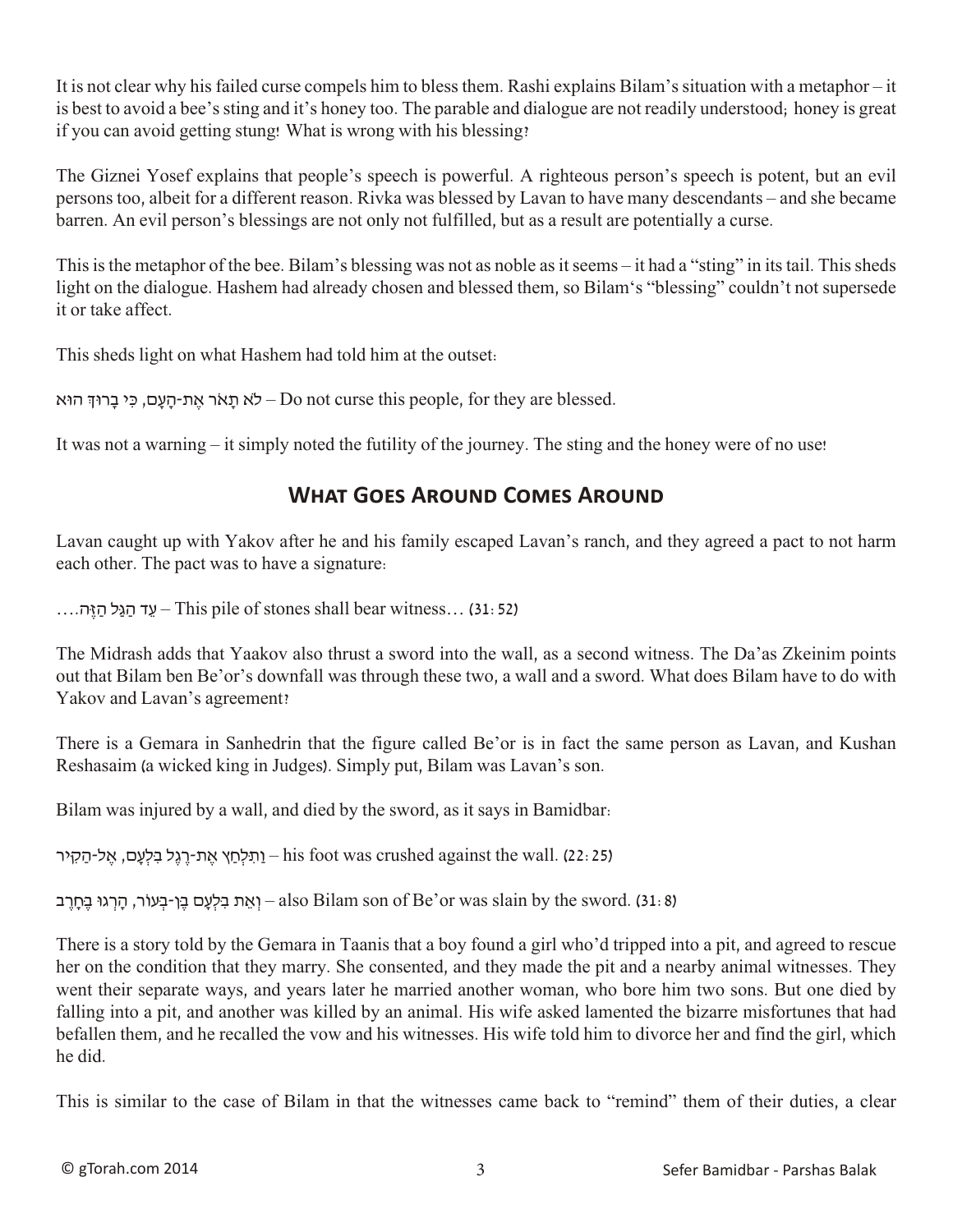It is not clear why his failed curse compels him to bless them. Rashi explains Bilam's situation with a metaphor – it is best to avoid a bee's sting and it's honey too. The parable and dialogue are not readily understood; honey is great if you can avoid getting stung! What is wrong with his blessing?

The Giznei Yosef explains that people's speech is powerful. A righteous person's speech is potent, but an evil persons too, albeit for a different reason. Rivka was blessed by Lavan to have many descendants – and she became barren. An evil person's blessings are not only not fulfilled, but as a result are potentially a curse.

This is the metaphor of the bee. Bilam's blessing was not as noble as it seems – it had a "sting" in its tail. This sheds light on the dialogue. Hashem had already chosen and blessed them, so Bilam's "blessing" couldn't not supersede it or take affect.

This sheds light on what Hashem had told him at the outset:

לא תָאֹר אֶת-הַעֲם, כִּי בָרוּךְ הוּא – Do not curse this people, for they are blessed.

It was not a warning – it simply noted the futility of the journey. The sting and the honey were of no use!

## **What Goes Around Comes Around**

Lavan caught up with Yakov after he and his family escaped Lavan's ranch, and they agreed a pact to not harm each other. The pact was to have a signature:

 $\dots$ עד הגל הזה $-$ This pile of stones shall bear witness $\dots$  (31: 52)

The Midrash adds that Yaakov also thrust a sword into the wall, as a second witness. The Da'as Zkeinim points out that Bilam ben Be'or's downfall was through these two, a wall and a sword. What does Bilam have to do with Yakov and Lavan's agreement?

There is a Gemara in Sanhedrin that the figure called Be'or is in fact the same person as Lavan, and Kushan Reshasaim (a wicked king in Judges). Simply put, Bilam was Lavan's son.

Bilam was injured by a wall, and died by the sword, as it says in Bamidbar:

ן הַלְחַץ אֶת-רֱגֶל בִלְעָם, אֱל-הַקִיר his foot was crushed against the wall. (22: 25)

יאֵת בִלְעָם בֵן-בִעוֹר, הָרְגוּ בֵחָרֵב also Bilam son of Be'or was slain by the sword. (31: 8)

There is a story told by the Gemara in Taanis that a boy found a girl who'd tripped into a pit, and agreed to rescue her on the condition that they marry. She consented, and they made the pit and a nearby animal witnesses. They went their separate ways, and years later he married another woman, who bore him two sons. But one died by falling into a pit, and another was killed by an animal. His wife asked lamented the bizarre misfortunes that had befallen them, and he recalled the vow and his witnesses. His wife told him to divorce her and find the girl, which he did.

This is similar to the case of Bilam in that the witnesses came back to "remind" them of their duties, a clear